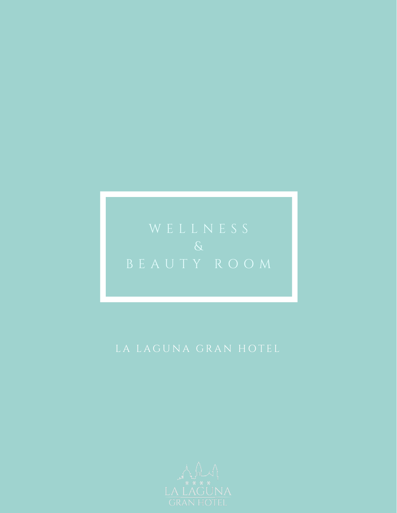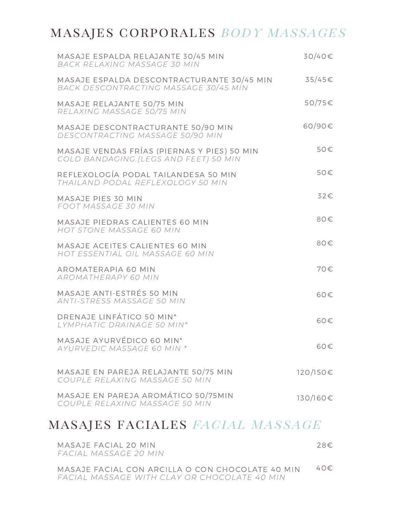## masajes corporales *body massages*

| MASAJE ESPALDA RELAJANTE 30/45 MIN<br>BACK RELAXING MASSAGE 30 MIN                    | $30/40 \in$     |
|---------------------------------------------------------------------------------------|-----------------|
| MASAJE ESPALDA DESCONTRACTURANTE 30/45 MIN<br>BACK DESCONTRACTING MASSAGE 30/45 MIN   | $35/45\epsilon$ |
| MASAJE RELAJANTE 50/75 MIN<br>RELAXING MASSAGE 50/75 MIN                              | $50/75 \in$     |
| MASAJE DESCONTRACTURANTE 50/90 MIN<br>DESCONTRACTING MASSAGE 50/90 MIN                | 60/90€          |
| MASAJE VENDAS FRÍAS (PIERNAS Y PIES) 50 MIN<br>COLD BANDAGING. (LEGS AND FEET) 50 MIN | 50€             |
| REFLEXOLOGÍA PODAL TAILANDESA 50 MIN<br>THAILAND PODAL REFLEXOLOGY 50 MIN             | 50€             |
| MASAJE PIES 30 MIN<br>FOOT MASSAGE 30 MIN                                             | 32€             |
| MASAJE PIEDRAS CALIENTES 60 MIN<br>HOT STONE MASSAGE 60 MIN                           | 80€             |
| MASAJE ACEITES CALIENTES 60 MIN<br>HOT ESSENTIAL OIL MASSAGE 60 MIN                   | 80€             |
| AROMATERAPIA 60 MIN<br>AROMATHERAPY 60 MIN                                            | 70€             |
| MASAJE ANTI-ESTRÉS 50 MIN<br>ANTI-STRESS MASSAGE 50 MIN                               | 60€             |
| DRENAJE LINFÁTICO 50 MIN <sup>*</sup><br>LYMPHATIC DRAINAGE 50 MIN*                   | 60€             |
| MASAJE AYURVÉDICO 60 MIN*<br>AYURVEDIC MASSAGE 60 MIN *                               | 60€             |
| MASAJE EN PAREJA RELAJANTE 50/75 MIN<br>COUPLE RELAXING MASSAGE 50 MIN                | 120/150€        |
| MASAJE EN PAREJA AROMÁTICO 50/75MIN<br>COUPLE RELAXING MASSAGE 50 MIN                 | 130/160€        |

### masajes faciales *facial massage*

| MASAJE FACIAL 20 MIN<br>FACIAL MASSAGE 20 MIN | 28€ |
|-----------------------------------------------|-----|
|                                               |     |

MASAJE FACIAL CON ARCILLA O CON CHOCOLATE 40 MIN *FACIAL MASSAGE WITH CLAY OR CHOCOLATE 40 MIN* 40€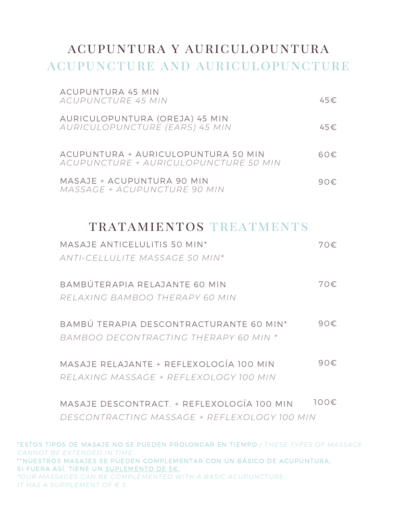# acupuntura y auriculopuntura acupuncture and auriculopuncture

| ACUPUNTURA 45 MIN<br>ACUPUNCTURE 45 MIN                                      | 45E           |
|------------------------------------------------------------------------------|---------------|
| AURICULOPUNTURA (OREJA) 45 MIN<br>AURICULOPUNCTURE (EARS) 45 MIN             | 45E           |
| ACUPUNTURA + AURICULOPUNTURA 50 MIN<br>ACUPUNCTURE + AURICULOPUNCTURE 50 MIN | 60€           |
| MASAJE + ACUPUNTURA 90 MIN<br>MASSAGE + ACUPUNCTURE 90 MIN                   | 90 $\epsilon$ |

### tratamientos treatments

| MASAJE ANTICELULITIS 50 MIN*                        | 70€  |
|-----------------------------------------------------|------|
| ANTI-CELLULITE MASSAGE 50 MIN*                      |      |
| BAMBÚTERAPIA RELAJANTE 60 MIN                       | 70€. |
|                                                     |      |
| RELAXING BAMBOO THERAPY 60 MIN                      |      |
|                                                     |      |
| BAMBÚ TERAPIA DESCONTRACTURANTE 60 MIN <sup>*</sup> | 90€  |
| BAMBOO DECONTRACTING THERAPY 60 MIN *               |      |
|                                                     |      |
| MASAJE RELAJANTE + REFLEXOLOGÍA 100 MIN             | 90€  |
| RELAXING MASSAGE + REFLEXOLOGY 100 MIN              |      |
|                                                     |      |
| MASAJE DESCONTRACT. + REFLEXOLOGÍA 100 MIN          | 100€ |
| DESCONTRACTING MASSAGE + REFLEXOLOGY 100 MIN        |      |
|                                                     |      |

\*ESTOS TIPOS DE MASAJE NO SE PUEDEN PROLONGAR EN TIEMPO */ THESE TYPES OF MASSAGE CANNOT BE EXTENDED IN TIME.* \*\*NUESTROS MASAJES SE PUEDEN COMPLEMENTAR CON UN BÁSICO DE ACUPUNTURA, SI FUERA ASÍ, TIENE UN SUPLEMENTO DE 5€. *\*OUR MASSAGES CAN BE COMPLEMENTED WITH A BASIC ACUPUNCTURE, IT HAS A SUPPLEMENT OF € 5.*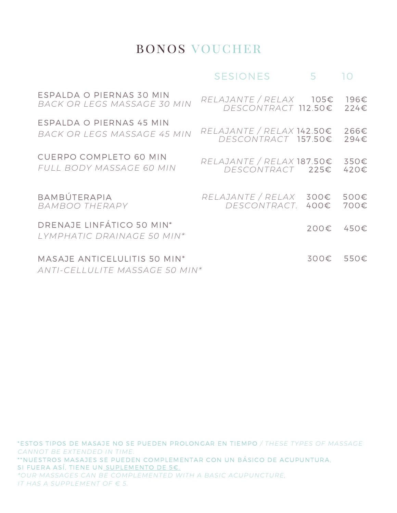## bonos voucher

### SESIONES 5 10

| ESPALDA O PIERNAS 30 MIN                                       | $RELAJANTE / RELAX 105\epsilon$    |      | 196€ |
|----------------------------------------------------------------|------------------------------------|------|------|
| BACK OR LEGS MASSAGE 30 MIN                                    | DESCONTRACT 112.50€                |      | 224E |
| ESPALDA O PIERNAS 45 MIN                                       | $RELAJANTE / RELAX 142.50\epsilon$ |      | 266€ |
| BACK OR LEGS MASSAGE 45 MIN                                    | DESCONTRACT 157.50€                |      | 294€ |
| <b>CUERPO COMPLETO 60 MIN</b>                                  | $RELAJANTE / RELAX 187.50\epsilon$ |      | 350€ |
| FULL BODY MASSAGE 60 MIN                                       | DESCONTRACT 225€                   |      | 420€ |
| BAMBÚTERAPIA                                                   | $RELAJANTE / RELAX 300\epsilon$    | 400€ | 500€ |
| BAMBOO THERAPY                                                 | DESCONTRACT.                       |      | 700€ |
| DRENAJE LINFÁTICO 50 MIN*<br>LYMPHATIC DRAINAGE 50 MIN*        |                                    | 200€ | 450€ |
| MASAJE ANTICELULITIS 50 MIN*<br>ANTI-CELLULITE MASSAGE 50 MIN* |                                    | 300€ | 550€ |
|                                                                |                                    |      |      |

\*ESTOS TIPOS DE MASAJE NO SE PUEDEN PROLONGAR EN TIEMPO */ THESE TYPES OF MASSAGE CANNOT BE EXTENDED IN TIME.* \*\*NUESTROS MASAJES SE PUEDEN COMPLEMENTAR CON UN BÁSICO DE ACUPUNTURA, SI FUERA ASÍ, TIENE UN SUPLEMENTO DE 5€. *\*OUR MASSAGES CAN BE COMPLEMENTED WITH A BASIC ACUPUNCTURE, IT HAS A SUPPLEMENT OF € 5.*